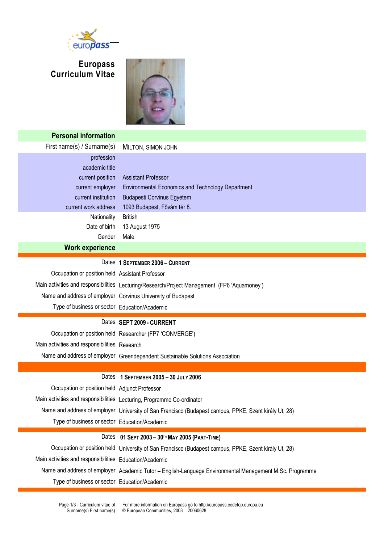

## **Europass Curriculum Vitae**



| <b>Personal information</b>                             |                                                                                                         |  |  |  |  |  |
|---------------------------------------------------------|---------------------------------------------------------------------------------------------------------|--|--|--|--|--|
| First name(s) / Surname(s)                              | MILTON, SIMON JOHN                                                                                      |  |  |  |  |  |
| profession                                              |                                                                                                         |  |  |  |  |  |
| academic title                                          |                                                                                                         |  |  |  |  |  |
| current position                                        | <b>Assistant Professor</b>                                                                              |  |  |  |  |  |
| current employer                                        | <b>Environmental Economics and Technology Department</b>                                                |  |  |  |  |  |
| current institution                                     | <b>Budapesti Corvinus Egyetem</b>                                                                       |  |  |  |  |  |
| current work address                                    | 1093 Budapest, Fővám tér 8.                                                                             |  |  |  |  |  |
| Nationality                                             | <b>British</b>                                                                                          |  |  |  |  |  |
| Date of birth                                           | 13 August 1975                                                                                          |  |  |  |  |  |
| Gender                                                  | Male                                                                                                    |  |  |  |  |  |
| <b>Work experience</b>                                  |                                                                                                         |  |  |  |  |  |
| Dates                                                   | 1 SEPTEMBER 2006 - CURRENT                                                                              |  |  |  |  |  |
| Occupation or position held Assistant Professor         |                                                                                                         |  |  |  |  |  |
| Main activities and responsibilities                    | Lecturing/Research/Project Management (FP6 'Aquamoney')                                                 |  |  |  |  |  |
| Name and address of employer                            | Corvinus University of Budapest                                                                         |  |  |  |  |  |
| Type of business or sector Education/Academic           |                                                                                                         |  |  |  |  |  |
|                                                         |                                                                                                         |  |  |  |  |  |
|                                                         | Dates SEPT 2009 - CURRENT                                                                               |  |  |  |  |  |
|                                                         | Occupation or position held Researcher (FP7 'CONVERGE')                                                 |  |  |  |  |  |
| Main activities and responsibilities Research           |                                                                                                         |  |  |  |  |  |
| Name and address of employer                            | Greendependent Sustainable Solutions Association                                                        |  |  |  |  |  |
|                                                         |                                                                                                         |  |  |  |  |  |
| Dates                                                   | 1 SEPTEMBER 2005-30 JULY 2006                                                                           |  |  |  |  |  |
| Occupation or position held Adjunct Professor           |                                                                                                         |  |  |  |  |  |
|                                                         | Main activities and responsibilities Lecturing, Programme Co-ordinator                                  |  |  |  |  |  |
| Name and address of employer                            | University of San Francisco (Budapest campus, PPKE, Szent király Ut, 28)                                |  |  |  |  |  |
| Type of business or sector Education/Academic           |                                                                                                         |  |  |  |  |  |
| Dates                                                   | 01 SEPT 2003 - 30TH MAY 2005 (PART-TIME)                                                                |  |  |  |  |  |
| Occupation or position held                             |                                                                                                         |  |  |  |  |  |
| Main activities and responsibilities Education/Academic | University of San Francisco (Budapest campus, PPKE, Szent király Ut, 28)                                |  |  |  |  |  |
|                                                         | Name and address of employer Academic Tutor - English-Language Environmental Management M.Sc. Programme |  |  |  |  |  |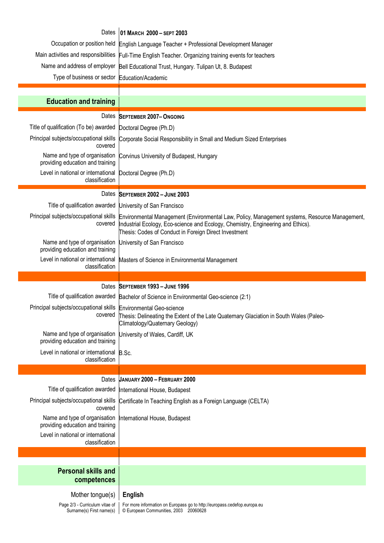|                                                                                | Dates 01 MARCH 2000 - SEPT 2003                                                                                                                                                                                                            |  |  |  |  |  |
|--------------------------------------------------------------------------------|--------------------------------------------------------------------------------------------------------------------------------------------------------------------------------------------------------------------------------------------|--|--|--|--|--|
|                                                                                | Occupation or position held English Language Teacher + Professional Development Manager                                                                                                                                                    |  |  |  |  |  |
|                                                                                | Main activities and responsibilities Full-Time English Teacher. Organizing training events for teachers                                                                                                                                    |  |  |  |  |  |
|                                                                                | Name and address of employer Bell Educational Trust, Hungary. Tulipan Ut, 8. Budapest                                                                                                                                                      |  |  |  |  |  |
| Type of business or sector Education/Academic                                  |                                                                                                                                                                                                                                            |  |  |  |  |  |
|                                                                                |                                                                                                                                                                                                                                            |  |  |  |  |  |
| <b>Education and training</b>                                                  |                                                                                                                                                                                                                                            |  |  |  |  |  |
| Dates                                                                          | <b>SEPTEMBER 2007-ONGOING</b>                                                                                                                                                                                                              |  |  |  |  |  |
| Title of qualification (To be) awarded                                         | Doctoral Degree (Ph.D)                                                                                                                                                                                                                     |  |  |  |  |  |
| Principal subjects/occupational skills<br>covered                              | Corporate Social Responsibility in Small and Medium Sized Enterprises                                                                                                                                                                      |  |  |  |  |  |
| providing education and training                                               | Name and type of organisation Corvinus University of Budapest, Hungary                                                                                                                                                                     |  |  |  |  |  |
| Level in national or international Doctoral Degree (Ph.D)<br>classification    |                                                                                                                                                                                                                                            |  |  |  |  |  |
|                                                                                | Dates SEPTEMBER 2002 - JUNE 2003                                                                                                                                                                                                           |  |  |  |  |  |
| Title of qualification awarded                                                 | University of San Francisco                                                                                                                                                                                                                |  |  |  |  |  |
| Principal subjects/occupational skills<br>covered                              | Environmental Management (Environmental Law, Policy, Management systems, Resource Management,<br>Industrial Ecology, Eco-science and Ecology, Chemistry, Engineering and Ethics).<br>Thesis: Codes of Conduct in Foreign Direct Investment |  |  |  |  |  |
| Name and type of organisation<br>providing education and training              | University of San Francisco                                                                                                                                                                                                                |  |  |  |  |  |
| Level in national or international<br>classification                           | Masters of Science in Environmental Management                                                                                                                                                                                             |  |  |  |  |  |
|                                                                                |                                                                                                                                                                                                                                            |  |  |  |  |  |
|                                                                                |                                                                                                                                                                                                                                            |  |  |  |  |  |
|                                                                                | Dates SEPTEMBER 1993 - JUNE 1996                                                                                                                                                                                                           |  |  |  |  |  |
|                                                                                | Title of qualification awarded Bachelor of Science in Environmental Geo-science (2:1)                                                                                                                                                      |  |  |  |  |  |
| Principal subjects/occupational skills Environmental Geo-science<br>covered    | Thesis: Delineating the Extent of the Late Quaternary Glaciation in South Wales (Paleo-<br>Climatology/Quaternary Geology)                                                                                                                 |  |  |  |  |  |
| Name and type of organisation<br>providing education and training              | University of Wales, Cardiff, UK                                                                                                                                                                                                           |  |  |  |  |  |
| Level in national or international B.Sc.<br>classification                     |                                                                                                                                                                                                                                            |  |  |  |  |  |
|                                                                                |                                                                                                                                                                                                                                            |  |  |  |  |  |
| Dates                                                                          | JANUARY 2000 - FEBRUARY 2000                                                                                                                                                                                                               |  |  |  |  |  |
|                                                                                | Title of qualification awarded  International House, Budapest                                                                                                                                                                              |  |  |  |  |  |
| Principal subjects/occupational skills<br>covered                              | Certificate In Teaching English as a Foreign Language (CELTA)                                                                                                                                                                              |  |  |  |  |  |
| Name and type of organisation<br>providing education and training              | International House, Budapest                                                                                                                                                                                                              |  |  |  |  |  |
| Level in national or international<br>classification                           |                                                                                                                                                                                                                                            |  |  |  |  |  |
|                                                                                |                                                                                                                                                                                                                                            |  |  |  |  |  |
|                                                                                |                                                                                                                                                                                                                                            |  |  |  |  |  |
| <b>Personal skills and</b><br>competences                                      |                                                                                                                                                                                                                                            |  |  |  |  |  |
|                                                                                |                                                                                                                                                                                                                                            |  |  |  |  |  |
| Mother tongue(s)<br>Page 2/3 - Curriculum vitae of<br>Surname(s) First name(s) | English<br>For more information on Europass go to http://europass.cedefop.europa.eu<br>© European Communities, 2003 20060628                                                                                                               |  |  |  |  |  |